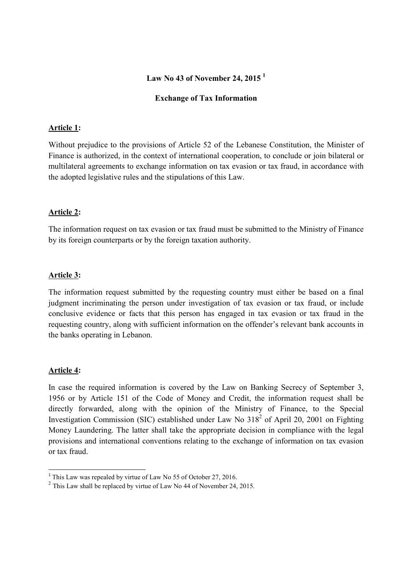## **Law No 43 of November 24, 2015 <sup>1</sup>**

#### **Exchange of Tax Information**

## **Article 1:**

Without prejudice to the provisions of Article 52 of the Lebanese Constitution, the Minister of Finance is authorized, in the context of international cooperation, to conclude or join bilateral or multilateral agreements to exchange information on tax evasion or tax fraud, in accordance with the adopted legislative rules and the stipulations of this Law.

### **Article 2:**

The information request on tax evasion or tax fraud must be submitted to the Ministry of Finance by its foreign counterparts or by the foreign taxation authority.

### **Article 3:**

The information request submitted by the requesting country must either be based on a final judgment incriminating the person under investigation of tax evasion or tax fraud, or include conclusive evidence or facts that this person has engaged in tax evasion or tax fraud in the requesting country, along with sufficient information on the offender's relevant bank accounts in the banks operating in Lebanon.

### **Article 4:**

 $\overline{a}$ 

In case the required information is covered by the Law on Banking Secrecy of September 3, 1956 or by Article 151 of the Code of Money and Credit, the information request shall be directly forwarded, along with the opinion of the Ministry of Finance, to the Special Investigation Commission (SIC) established under Law No  $318<sup>2</sup>$  of April 20, 2001 on Fighting Money Laundering. The latter shall take the appropriate decision in compliance with the legal provisions and international conventions relating to the exchange of information on tax evasion or tax fraud.

 $1$ <sup>1</sup> This Law was repealed by virtue of Law No 55 of October 27, 2016.

 $2$  This Law shall be replaced by virtue of Law No 44 of November 24, 2015.